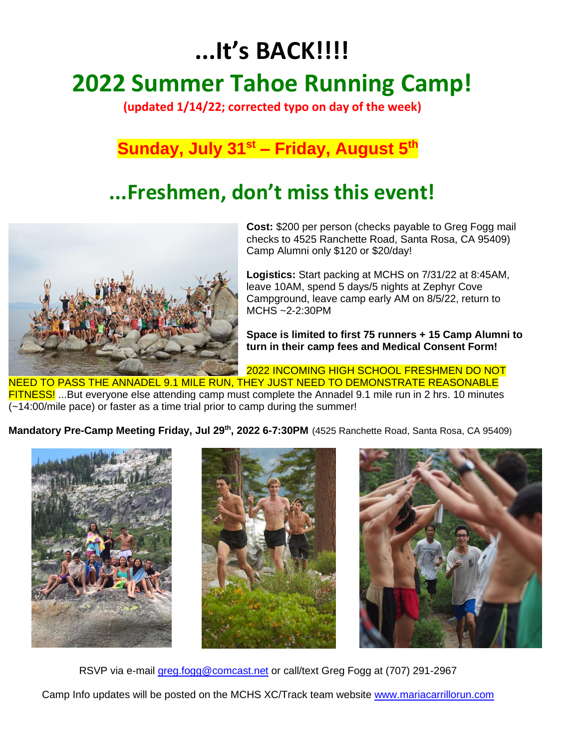# **...It's BACK!!!! 2022 Summer Tahoe Running Camp!**

**(updated 1/14/22; corrected typo on day of the week)**

### **Sunday, July 31st – Friday, August 5th**

## **...Freshmen, don't miss this event!**



**Cost:** \$200 per person (checks payable to Greg Fogg mail checks to 4525 Ranchette Road, Santa Rosa, CA 95409) Camp Alumni only \$120 or \$20/day!

**Logistics:** Start packing at MCHS on 7/31/22 at 8:45AM, leave 10AM, spend 5 days/5 nights at Zephyr Cove Campground, leave camp early AM on 8/5/22, return to MCHS ~2-2:30PM

**Space is limited to first 75 runners + 15 Camp Alumni to turn in their camp fees and Medical Consent Form!** 

2022 INCOMING HIGH SCHOOL FRESHMEN DO NOT NEED TO PASS THE ANNADEL 9.1 MILE RUN, THEY JUST NEED TO DEMONSTRATE REASONABLE FITNESS! ...But everyone else attending camp must complete the Annadel 9.1 mile run in 2 hrs. 10 minutes (~14:00/mile pace) or faster as a time trial prior to camp during the summer!

**Mandatory Pre-Camp Meeting Friday, Jul 29 th, 2022 6-7:30PM** (4525 Ranchette Road, Santa Rosa, CA 95409)







RSVP via e-mail [greg.fogg@comcast.net](mailto:greg.fogg@comcast.net) or call/text Greg Fogg at (707) 291-2967

Camp Info updates will be posted on the MCHS XC/Track team website [www.mariacarrillorun.com](https://emea01.safelinks.protection.outlook.com/?url=http%3A%2F%2Fwww.mariacarrillorun.com&data=02%7C01%7CPatrick.E.Donohue%40fisglobal.com%7C6bd1c06a88c4464fb18008d648c34eb3%7Ce3ff91d834c84b15a0b418910a6ac575%7C0%7C0%7C636776401008115960&sdata=6kLNQxGmfVJZ6gacNLY%2F%2BwGzWSKuBHZHQTGeh7fbbYA%3D&reserved=0)